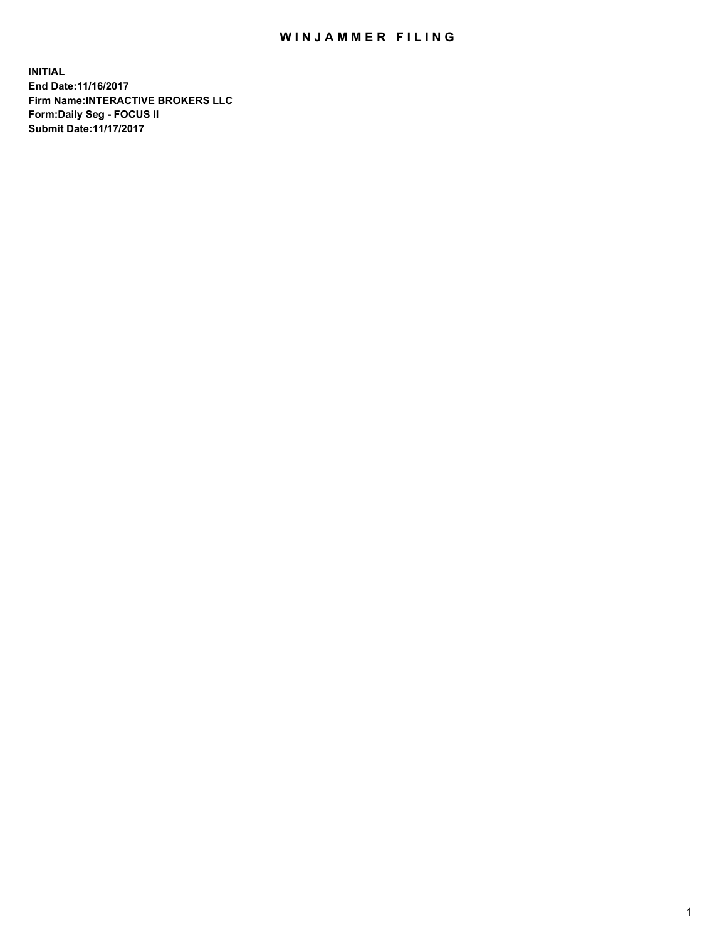## WIN JAMMER FILING

**INITIAL End Date:11/16/2017 Firm Name:INTERACTIVE BROKERS LLC Form:Daily Seg - FOCUS II Submit Date:11/17/2017**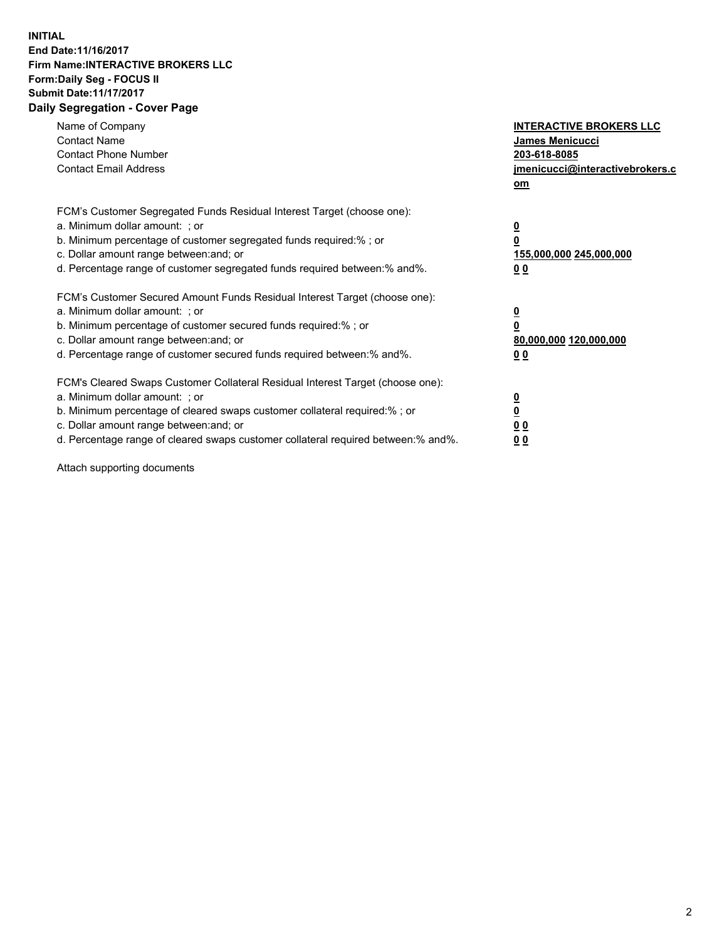## **INITIAL End Date:11/16/2017 Firm Name:INTERACTIVE BROKERS LLC Form:Daily Seg - FOCUS II Submit Date:11/17/2017 Daily Segregation - Cover Page**

| Name of Company<br><b>Contact Name</b><br><b>Contact Phone Number</b><br><b>Contact Email Address</b>                                                                                                                                                                                                                          | <b>INTERACTIVE BROKERS LLC</b><br><b>James Menicucci</b><br>203-618-8085<br>jmenicucci@interactivebrokers.c<br>om |
|--------------------------------------------------------------------------------------------------------------------------------------------------------------------------------------------------------------------------------------------------------------------------------------------------------------------------------|-------------------------------------------------------------------------------------------------------------------|
| FCM's Customer Segregated Funds Residual Interest Target (choose one):<br>a. Minimum dollar amount: ; or<br>b. Minimum percentage of customer segregated funds required:%; or<br>c. Dollar amount range between: and; or<br>d. Percentage range of customer segregated funds required between:% and%.                          | $\overline{\mathbf{0}}$<br>0<br>155,000,000 245,000,000<br>0 <sub>0</sub>                                         |
| FCM's Customer Secured Amount Funds Residual Interest Target (choose one):<br>a. Minimum dollar amount: ; or<br>b. Minimum percentage of customer secured funds required:%; or<br>c. Dollar amount range between: and; or<br>d. Percentage range of customer secured funds required between: % and %.                          | $\overline{\mathbf{0}}$<br>0<br>80,000,000 120,000,000<br>0 <sub>0</sub>                                          |
| FCM's Cleared Swaps Customer Collateral Residual Interest Target (choose one):<br>a. Minimum dollar amount: ; or<br>b. Minimum percentage of cleared swaps customer collateral required:% ; or<br>c. Dollar amount range between: and; or<br>d. Percentage range of cleared swaps customer collateral required between:% and%. | $\overline{\mathbf{0}}$<br>$\overline{\mathbf{0}}$<br>0 <sub>0</sub><br><u>00</u>                                 |

Attach supporting documents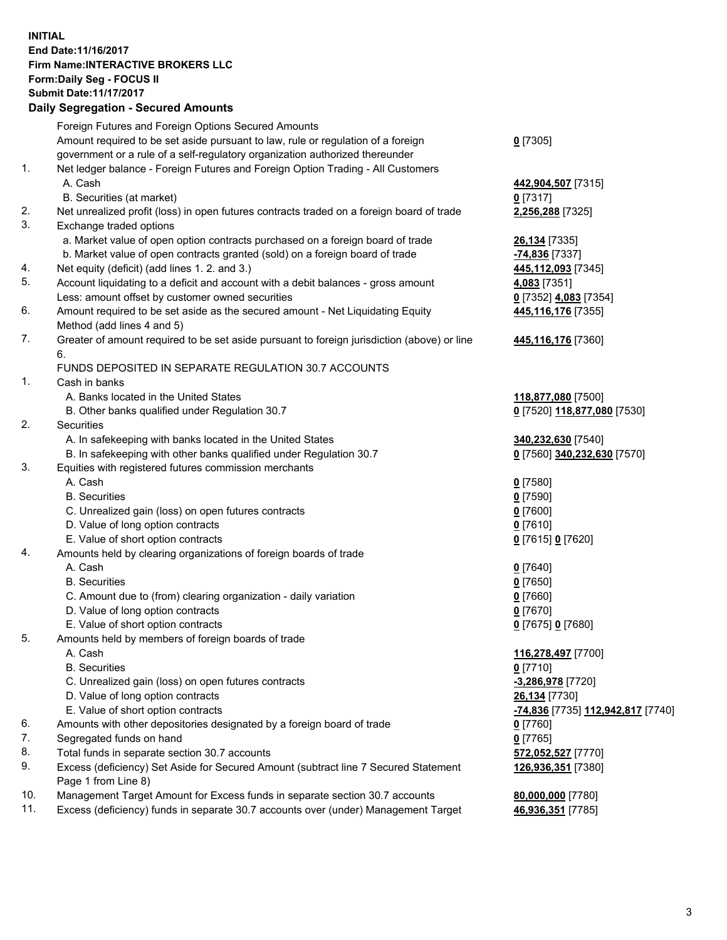## **INITIAL End Date:11/16/2017 Firm Name:INTERACTIVE BROKERS LLC Form:Daily Seg - FOCUS II Submit Date:11/17/2017 Daily Segregation - Secured Amounts**

|     | Daily Segregation - Secured Amounts                                                                |                                   |
|-----|----------------------------------------------------------------------------------------------------|-----------------------------------|
|     | Foreign Futures and Foreign Options Secured Amounts                                                |                                   |
|     | Amount required to be set aside pursuant to law, rule or regulation of a foreign                   | $0$ [7305]                        |
|     | government or a rule of a self-regulatory organization authorized thereunder                       |                                   |
| 1.  | Net ledger balance - Foreign Futures and Foreign Option Trading - All Customers                    |                                   |
|     | A. Cash                                                                                            | 442,904,507 [7315]                |
|     | B. Securities (at market)                                                                          | $0$ [7317]                        |
| 2.  | Net unrealized profit (loss) in open futures contracts traded on a foreign board of trade          | 2,256,288 [7325]                  |
| 3.  | Exchange traded options                                                                            |                                   |
|     | a. Market value of open option contracts purchased on a foreign board of trade                     | 26,134 [7335]                     |
|     | b. Market value of open contracts granted (sold) on a foreign board of trade                       | -74,836 [7337]                    |
| 4.  | Net equity (deficit) (add lines 1.2. and 3.)                                                       | 445,112,093 [7345]                |
| 5.  | Account liquidating to a deficit and account with a debit balances - gross amount                  | 4,083 [7351]                      |
|     | Less: amount offset by customer owned securities                                                   | 0 [7352] 4,083 [7354]             |
| 6.  | Amount required to be set aside as the secured amount - Net Liquidating Equity                     | 445,116,176 [7355]                |
|     | Method (add lines 4 and 5)                                                                         |                                   |
| 7.  | Greater of amount required to be set aside pursuant to foreign jurisdiction (above) or line        | 445,116,176 [7360]                |
|     | 6.                                                                                                 |                                   |
|     | FUNDS DEPOSITED IN SEPARATE REGULATION 30.7 ACCOUNTS                                               |                                   |
| 1.  | Cash in banks                                                                                      |                                   |
|     | A. Banks located in the United States                                                              | 118,877,080 [7500]                |
|     | B. Other banks qualified under Regulation 30.7                                                     | 0 [7520] 118,877,080 [7530]       |
| 2.  | Securities                                                                                         |                                   |
|     | A. In safekeeping with banks located in the United States                                          | 340,232,630 [7540]                |
|     | B. In safekeeping with other banks qualified under Regulation 30.7                                 | 0 [7560] 340,232,630 [7570]       |
| 3.  | Equities with registered futures commission merchants                                              |                                   |
|     | A. Cash                                                                                            | $0$ [7580]                        |
|     | <b>B.</b> Securities                                                                               | $0$ [7590]                        |
|     | C. Unrealized gain (loss) on open futures contracts                                                | $0$ [7600]                        |
|     | D. Value of long option contracts                                                                  | $0$ [7610]                        |
|     | E. Value of short option contracts                                                                 | 0 [7615] 0 [7620]                 |
| 4.  | Amounts held by clearing organizations of foreign boards of trade                                  |                                   |
|     | A. Cash                                                                                            | $0$ [7640]                        |
|     | <b>B.</b> Securities                                                                               | $0$ [7650]                        |
|     | C. Amount due to (from) clearing organization - daily variation                                    | $0$ [7660]                        |
|     | D. Value of long option contracts                                                                  | $0$ [7670]                        |
|     | E. Value of short option contracts                                                                 | 0 [7675] 0 [7680]                 |
| 5.  | Amounts held by members of foreign boards of trade                                                 |                                   |
|     | A. Cash                                                                                            | 116,278,497 [7700]                |
|     | <b>B.</b> Securities                                                                               | $0$ [7710]                        |
|     | C. Unrealized gain (loss) on open futures contracts                                                | -3,286,978 [7720]                 |
|     | D. Value of long option contracts                                                                  | 26,134 [7730]                     |
|     | E. Value of short option contracts                                                                 | -74,836 [7735] 112,942,817 [7740] |
| 6.  | Amounts with other depositories designated by a foreign board of trade                             | 0 [7760]                          |
| 7.  | Segregated funds on hand                                                                           | $0$ [7765]                        |
| 8.  | Total funds in separate section 30.7 accounts                                                      | 572,052,527 [7770]                |
| 9.  | Excess (deficiency) Set Aside for Secured Amount (subtract line 7 Secured Statement                | 126,936,351 [7380]                |
| 10. | Page 1 from Line 8)<br>Management Target Amount for Excess funds in separate section 30.7 accounts | 80,000,000 [7780]                 |
| 11. | Excess (deficiency) funds in separate 30.7 accounts over (under) Management Target                 |                                   |
|     |                                                                                                    | 46,936,351 [7785]                 |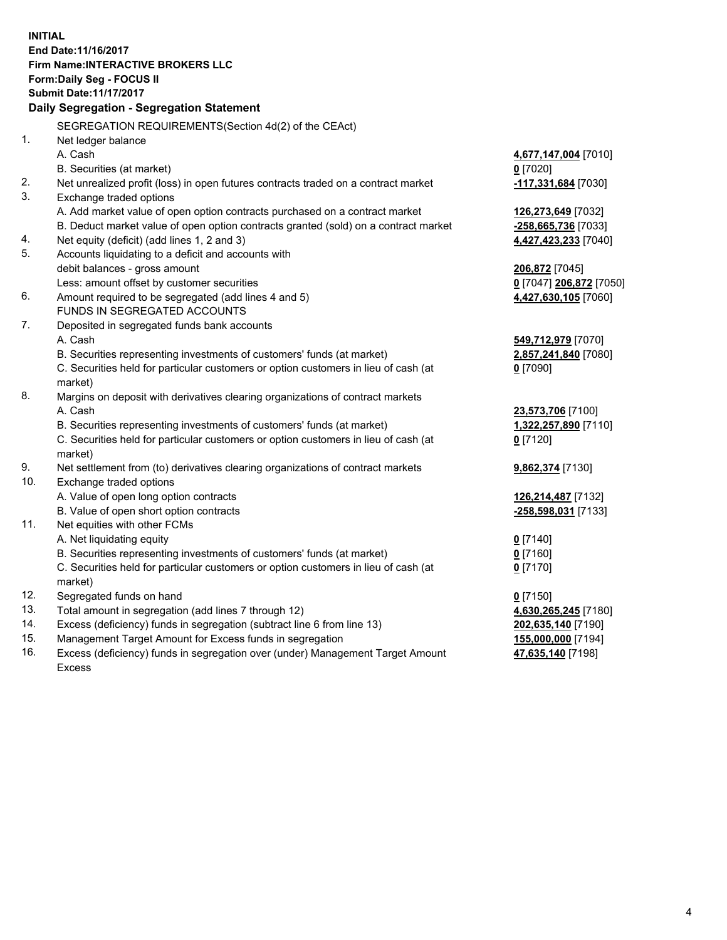**INITIAL End Date:11/16/2017 Firm Name:INTERACTIVE BROKERS LLC Form:Daily Seg - FOCUS II Submit Date:11/17/2017 Daily Segregation - Segregation Statement** SEGREGATION REQUIREMENTS(Section 4d(2) of the CEAct) 1. Net ledger balance A. Cash **4,677,147,004** [7010] B. Securities (at market) **0** [7020] 2. Net unrealized profit (loss) in open futures contracts traded on a contract market **-117,331,684** [7030] 3. Exchange traded options A. Add market value of open option contracts purchased on a contract market **126,273,649** [7032] B. Deduct market value of open option contracts granted (sold) on a contract market **-258,665,736** [7033] 4. Net equity (deficit) (add lines 1, 2 and 3) **4,427,423,233** [7040] 5. Accounts liquidating to a deficit and accounts with debit balances - gross amount **206,872** [7045] Less: amount offset by customer securities **0** [7047] **206,872** [7050] 6. Amount required to be segregated (add lines 4 and 5) **4,427,630,105** [7060] FUNDS IN SEGREGATED ACCOUNTS 7. Deposited in segregated funds bank accounts A. Cash **549,712,979** [7070] B. Securities representing investments of customers' funds (at market) **2,857,241,840** [7080] C. Securities held for particular customers or option customers in lieu of cash (at market) **0** [7090] 8. Margins on deposit with derivatives clearing organizations of contract markets A. Cash **23,573,706** [7100] B. Securities representing investments of customers' funds (at market) **1,322,257,890** [7110] C. Securities held for particular customers or option customers in lieu of cash (at market) **0** [7120] 9. Net settlement from (to) derivatives clearing organizations of contract markets **9,862,374** [7130] 10. Exchange traded options A. Value of open long option contracts **126,214,487** [7132] B. Value of open short option contracts **-258,598,031** [7133] 11. Net equities with other FCMs A. Net liquidating equity **0** [7140] B. Securities representing investments of customers' funds (at market) **0** [7160] C. Securities held for particular customers or option customers in lieu of cash (at market) **0** [7170] 12. Segregated funds on hand **0** [7150] 13. Total amount in segregation (add lines 7 through 12) **4,630,265,245** [7180] 14. Excess (deficiency) funds in segregation (subtract line 6 from line 13) **202,635,140** [7190] 15. Management Target Amount for Excess funds in segregation **155,000,000** [7194] **47,635,140** [7198]

16. Excess (deficiency) funds in segregation over (under) Management Target Amount Excess